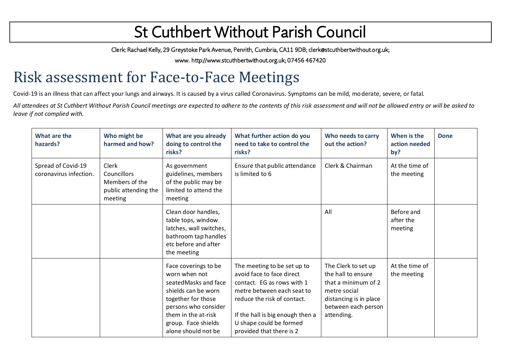Clerk: Rachael Kelly, 29 Greystoke Park Avenue, Penrith, Cumbria, CA11 9DB; clerk@stcuthbertwithout.org.uk;

www. http://www.stcuthbertwithout.org.uk; 07456 467420

### Risk assessment for Face-to-Face Meetings

Covid-19 is an illness that can affect your lungs and airways. It is caused by a virus called Coronavirus. Symptoms can be mild, moderate, severe, or fatal.

*All attendees at St Cuthbert Without Parish Council meetings are expected to adhere to the contents of this risk assessment and will not be allowed entry or will be asked to leave if not complied with.*

| What are the<br>hazards?                     | Who might be<br>harmed and how?                                           | What are you already<br>doing to control the<br>risks?                                                                                                                                                   | What further action do you<br>need to take to control the<br>risks?                                                                                                                                                                            | Who needs to carry<br>out the action?                                                                                                           | When is the<br>action needed<br>by? | <b>Done</b> |
|----------------------------------------------|---------------------------------------------------------------------------|----------------------------------------------------------------------------------------------------------------------------------------------------------------------------------------------------------|------------------------------------------------------------------------------------------------------------------------------------------------------------------------------------------------------------------------------------------------|-------------------------------------------------------------------------------------------------------------------------------------------------|-------------------------------------|-------------|
| Spread of Covid-19<br>coronavirus infection. | Clerk<br>Councillors<br>Members of the<br>public attending the<br>meeting | As government<br>guidelines, members<br>of the public may be<br>limited to attend the<br>meeting                                                                                                         | Ensure that public attendance<br>is limited to 6                                                                                                                                                                                               | Clerk & Chairman                                                                                                                                | At the time of<br>the meeting       |             |
|                                              |                                                                           | Clean door handles,<br>table tops, window<br>latches, wall switches,<br>bathroom tap handles<br>etc before and after<br>the meeting                                                                      |                                                                                                                                                                                                                                                | All                                                                                                                                             | Before and<br>after the<br>meeting  |             |
|                                              |                                                                           | Face coverings to be<br>worn when not<br>seated Masks and face<br>shields can be worn<br>together for those<br>persons who consider<br>them in the at-risk<br>group. Face shields<br>alone should not be | The meeting to be set up to<br>avoid face to face direct<br>contact. EG as rows with 1<br>metre between each seat to<br>reduce the risk of contact.<br>If the hall is big enough then a<br>U shape could be formed<br>provided that there is 2 | The Clerk to set up<br>the hall to ensure<br>that a minimum of 2<br>metre social<br>distancing is in place<br>between each person<br>attending. | At the time of<br>the meeting       |             |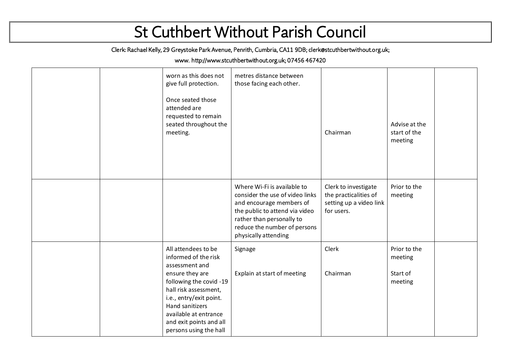Clerk: Rachael Kelly, 29 Greystoke Park Avenue, Penrith, Cumbria, CA11 9DB; clerk@stcuthbertwithout.org.uk;

#### www. http://www.stcuthbertwithout.org.uk; 07456 467420

|  | worn as this does not<br>give full protection.<br>Once seated those<br>attended are<br>requested to remain<br>seated throughout the<br>meeting.                                                                                                                  | metres distance between<br>those facing each other.                                                                                                                                                               | Chairman                                                                               | Advise at the<br>start of the<br>meeting       |  |
|--|------------------------------------------------------------------------------------------------------------------------------------------------------------------------------------------------------------------------------------------------------------------|-------------------------------------------------------------------------------------------------------------------------------------------------------------------------------------------------------------------|----------------------------------------------------------------------------------------|------------------------------------------------|--|
|  |                                                                                                                                                                                                                                                                  | Where Wi-Fi is available to<br>consider the use of video links<br>and encourage members of<br>the public to attend via video<br>rather than personally to<br>reduce the number of persons<br>physically attending | Clerk to investigate<br>the practicalities of<br>setting up a video link<br>for users. | Prior to the<br>meeting                        |  |
|  | All attendees to be<br>informed of the risk<br>assessment and<br>ensure they are<br>following the covid -19<br>hall risk assessment,<br>i.e., entry/exit point.<br>Hand sanitizers<br>available at entrance<br>and exit points and all<br>persons using the hall | Signage<br>Explain at start of meeting                                                                                                                                                                            | Clerk<br>Chairman                                                                      | Prior to the<br>meeting<br>Start of<br>meeting |  |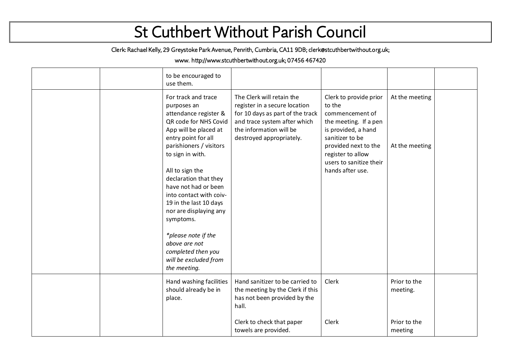Clerk: Rachael Kelly, 29 Greystoke Park Avenue, Penrith, Cumbria, CA11 9DB; clerk@stcuthbertwithout.org.uk;

#### www. http://www.stcuthbertwithout.org.uk; 07456 467420

|  | to be encouraged to<br>use them.                                                                                                                                                                                                                                                                                                                                                                                                                           |                                                                                                                                                                                       |                                                                                                                                                                                                                    |                                                     |  |
|--|------------------------------------------------------------------------------------------------------------------------------------------------------------------------------------------------------------------------------------------------------------------------------------------------------------------------------------------------------------------------------------------------------------------------------------------------------------|---------------------------------------------------------------------------------------------------------------------------------------------------------------------------------------|--------------------------------------------------------------------------------------------------------------------------------------------------------------------------------------------------------------------|-----------------------------------------------------|--|
|  | For track and trace<br>purposes an<br>attendance register &<br>QR code for NHS Covid<br>App will be placed at<br>entry point for all<br>parishioners / visitors<br>to sign in with.<br>All to sign the<br>declaration that they<br>have not had or been<br>into contact with coiv-<br>19 in the last 10 days<br>nor are displaying any<br>symptoms.<br>*please note if the<br>above are not<br>completed then you<br>will be excluded from<br>the meeting. | The Clerk will retain the<br>register in a secure location<br>for 10 days as part of the track<br>and trace system after which<br>the information will be<br>destroyed appropriately. | Clerk to provide prior<br>to the<br>commencement of<br>the meeting. If a pen<br>is provided, a hand<br>sanitizer to be<br>provided next to the<br>register to allow<br>users to sanitize their<br>hands after use. | At the meeting<br>At the meeting                    |  |
|  | Hand washing facilities<br>should already be in<br>place.                                                                                                                                                                                                                                                                                                                                                                                                  | Hand sanitizer to be carried to<br>the meeting by the Clerk if this<br>has not been provided by the<br>hall.<br>Clerk to check that paper<br>towels are provided.                     | Clerk<br>Clerk                                                                                                                                                                                                     | Prior to the<br>meeting.<br>Prior to the<br>meeting |  |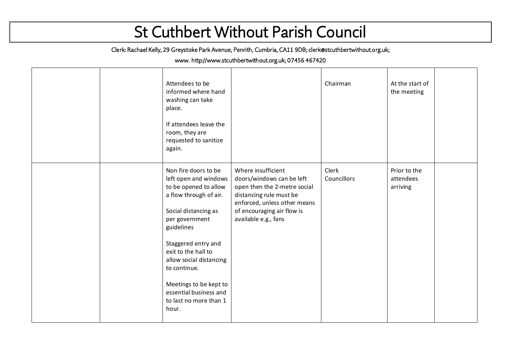Clerk: Rachael Kelly, 29 Greystoke Park Avenue, Penrith, Cumbria, CA11 9DB; clerk@stcuthbertwithout.org.uk;

#### www. http://www.stcuthbertwithout.org.uk; 07456 467420

|  | Attendees to be<br>informed where hand<br>washing can take<br>place.<br>If attendees leave the<br>room, they are<br>requested to sanitize<br>again.                                                                                                                                                                                      |                                                                                                                                                                                                  | Chairman             | At the start of<br>the meeting        |  |
|--|------------------------------------------------------------------------------------------------------------------------------------------------------------------------------------------------------------------------------------------------------------------------------------------------------------------------------------------|--------------------------------------------------------------------------------------------------------------------------------------------------------------------------------------------------|----------------------|---------------------------------------|--|
|  | Non fire doors to be<br>left open and windows<br>to be opened to allow<br>a flow through of air.<br>Social distancing as<br>per government<br>guidelines<br>Staggered entry and<br>exit to the hall to<br>allow social distancing<br>to continue.<br>Meetings to be kept to<br>essential business and<br>to last no more than 1<br>hour. | Where insufficient<br>doors/windows can be left<br>open then the 2-metre social<br>distancing rule must be<br>enforced, unless other means<br>of encouraging air flow is<br>available e.g., fans | Clerk<br>Councillors | Prior to the<br>attendees<br>arriving |  |